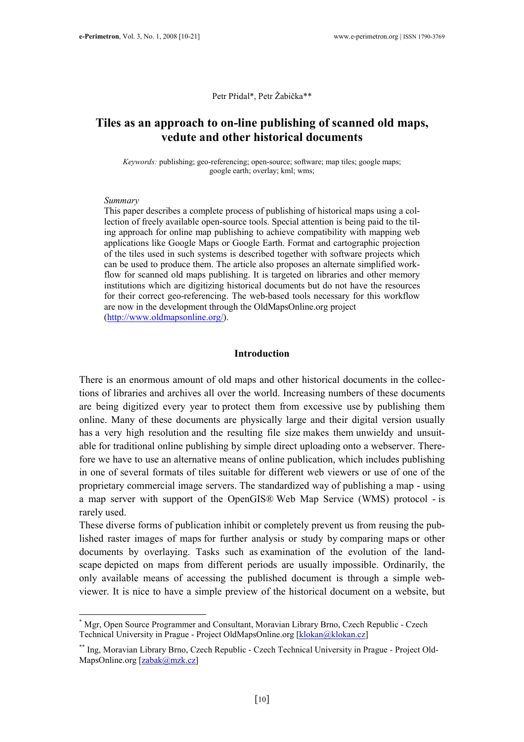Petr Přidal\*, Petr Žabička\*\*

# Tiles as an approach to on-line publishing of scanned old maps, vedute and other historical documents

Keywords: publishing; geo-referencing; open-source; software; map tiles; google maps; google earth; overlay; kml; wms;

#### Summary

 $\overline{a}$ 

This paper describes a complete process of publishing of historical maps using a collection of freely available open-source tools. Special attention is being paid to the tiling approach for online map publishing to achieve compatibility with mapping web applications like Google Maps or Google Earth. Format and cartographic projection of the tiles used in such systems is described together with software projects which can be used to produce them. The article also proposes an alternate simplified workflow for scanned old maps publishing. It is targeted on libraries and other memory institutions which are digitizing historical documents but do not have the resources for their correct geo-referencing. The web-based tools necessary for this workflow are now in the development through the OldMapsOnline.org project (http://www.oldmapsonline.org/).

### Introduction

There is an enormous amount of old maps and other historical documents in the collections of libraries and archives all over the world. Increasing numbers of these documents are being digitized every year to protect them from excessive use by publishing them online. Many of these documents are physically large and their digital version usually has a very high resolution and the resulting file size makes them unwieldy and unsuitable for traditional online publishing by simple direct uploading onto a webserver. Therefore we have to use an alternative means of online publication, which includes publishing in one of several formats of tiles suitable for different web viewers or use of one of the proprietary commercial image servers. The standardized way of publishing a map - using a map server with support of the OpenGIS® Web Map Service (WMS) protocol - is rarely used.

These diverse forms of publication inhibit or completely prevent us from reusing the published raster images of maps for further analysis or study by comparing maps or other documents by overlaying. Tasks such as examination of the evolution of the landscape depicted on maps from different periods are usually impossible. Ordinarily, the only available means of accessing the published document is through a simple webviewer. It is nice to have a simple preview of the historical document on a website, but

<sup>\*</sup> Mgr, Open Source Programmer and Consultant, Moravian Library Brno, Czech Republic - Czech Technical University in Prague - Project OldMapsOnline.org [klokan@klokan.cz]

<sup>\*\*</sup> Ing, Moravian Library Brno, Czech Republic - Czech Technical University in Prague - Project Old-MapsOnline.org [zabak@mzk.cz]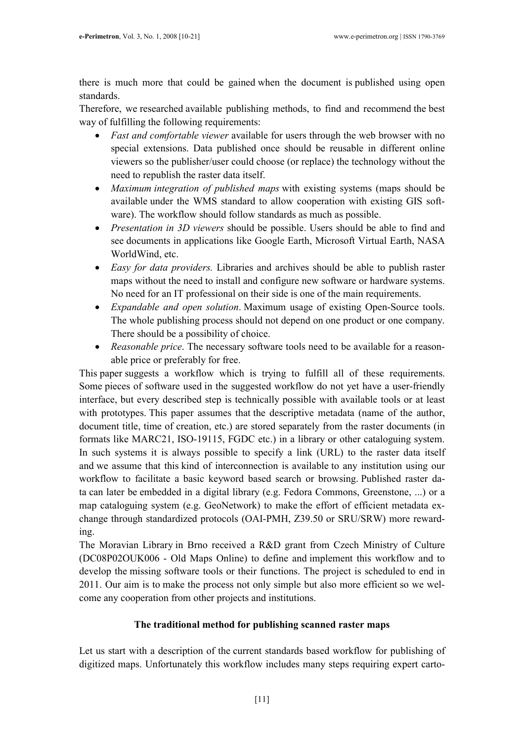there is much more that could be gained when the document is published using open standards.

Therefore, we researched available publishing methods, to find and recommend the best way of fulfilling the following requirements:

- Fast and comfortable viewer available for users through the web browser with no special extensions. Data published once should be reusable in different online viewers so the publisher/user could choose (or replace) the technology without the need to republish the raster data itself.
- *Maximum integration of published maps* with existing systems (maps should be available under the WMS standard to allow cooperation with existing GIS software). The workflow should follow standards as much as possible.
- Presentation in 3D viewers should be possible. Users should be able to find and see documents in applications like Google Earth, Microsoft Virtual Earth, NASA WorldWind, etc.
- *Easy for data providers.* Libraries and archives should be able to publish raster maps without the need to install and configure new software or hardware systems. No need for an IT professional on their side is one of the main requirements.
- Expandable and open solution. Maximum usage of existing Open-Source tools. The whole publishing process should not depend on one product or one company. There should be a possibility of choice.
- Reasonable price. The necessary software tools need to be available for a reasonable price or preferably for free.

This paper suggests a workflow which is trying to fulfill all of these requirements. Some pieces of software used in the suggested workflow do not yet have a user-friendly interface, but every described step is technically possible with available tools or at least with prototypes. This paper assumes that the descriptive metadata (name of the author, document title, time of creation, etc.) are stored separately from the raster documents (in formats like MARC21, ISO-19115, FGDC etc.) in a library or other cataloguing system. In such systems it is always possible to specify a link (URL) to the raster data itself and we assume that this kind of interconnection is available to any institution using our workflow to facilitate a basic keyword based search or browsing. Published raster data can later be embedded in a digital library (e.g. Fedora Commons, Greenstone, ...) or a map cataloguing system (e.g. GeoNetwork) to make the effort of efficient metadata exchange through standardized protocols (OAI-PMH, Z39.50 or SRU/SRW) more rewarding.

The Moravian Library in Brno received a R&D grant from Czech Ministry of Culture (DC08P02OUK006 - Old Maps Online) to define and implement this workflow and to develop the missing software tools or their functions. The project is scheduled to end in 2011. Our aim is to make the process not only simple but also more efficient so we welcome any cooperation from other projects and institutions.

# The traditional method for publishing scanned raster maps

Let us start with a description of the current standards based workflow for publishing of digitized maps. Unfortunately this workflow includes many steps requiring expert carto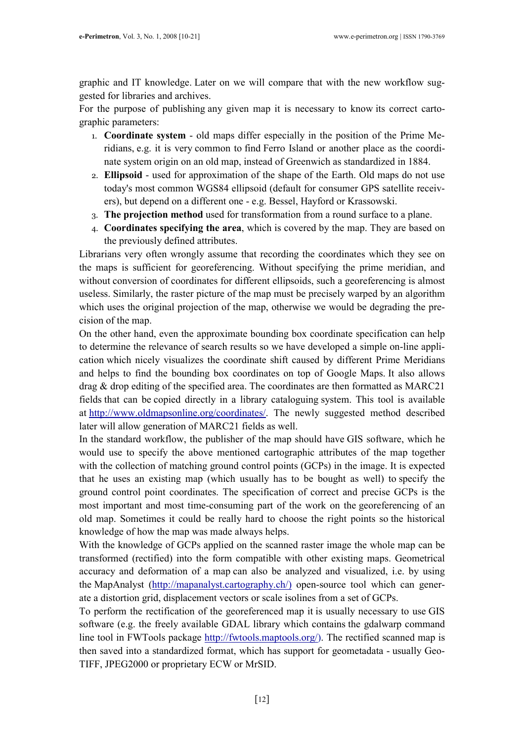graphic and IT knowledge. Later on we will compare that with the new workflow suggested for libraries and archives.

For the purpose of publishing any given map it is necessary to know its correct cartographic parameters:

- 1. Coordinate system old maps differ especially in the position of the Prime Meridians, e.g. it is very common to find Ferro Island or another place as the coordinate system origin on an old map, instead of Greenwich as standardized in 1884.
- 2. Ellipsoid used for approximation of the shape of the Earth. Old maps do not use today's most common WGS84 ellipsoid (default for consumer GPS satellite receivers), but depend on a different one - e.g. Bessel, Hayford or Krassowski.
- 3. The projection method used for transformation from a round surface to a plane.
- 4. Coordinates specifying the area, which is covered by the map. They are based on the previously defined attributes.

Librarians very often wrongly assume that recording the coordinates which they see on the maps is sufficient for georeferencing. Without specifying the prime meridian, and without conversion of coordinates for different ellipsoids, such a georeferencing is almost useless. Similarly, the raster picture of the map must be precisely warped by an algorithm which uses the original projection of the map, otherwise we would be degrading the precision of the map.

On the other hand, even the approximate bounding box coordinate specification can help to determine the relevance of search results so we have developed a simple on-line application which nicely visualizes the coordinate shift caused by different Prime Meridians and helps to find the bounding box coordinates on top of Google Maps. It also allows drag & drop editing of the specified area. The coordinates are then formatted as MARC21 fields that can be copied directly in a library cataloguing system. This tool is available at http://www.oldmapsonline.org/coordinates/. The newly suggested method described later will allow generation of MARC21 fields as well.

In the standard workflow, the publisher of the map should have GIS software, which he would use to specify the above mentioned cartographic attributes of the map together with the collection of matching ground control points (GCPs) in the image. It is expected that he uses an existing map (which usually has to be bought as well) to specify the ground control point coordinates. The specification of correct and precise GCPs is the most important and most time-consuming part of the work on the georeferencing of an old map. Sometimes it could be really hard to choose the right points so the historical knowledge of how the map was made always helps.

With the knowledge of GCPs applied on the scanned raster image the whole map can be transformed (rectified) into the form compatible with other existing maps. Geometrical accuracy and deformation of a map can also be analyzed and visualized, i.e. by using the MapAnalyst (http://mapanalyst.cartography.ch/) open-source tool which can generate a distortion grid, displacement vectors or scale isolines from a set of GCPs.

To perform the rectification of the georeferenced map it is usually necessary to use GIS software (e.g. the freely available GDAL library which contains the gdalwarp command line tool in FWTools package http://fwtools.maptools.org/). The rectified scanned map is then saved into a standardized format, which has support for geometadata - usually Geo-TIFF, JPEG2000 or proprietary ECW or MrSID.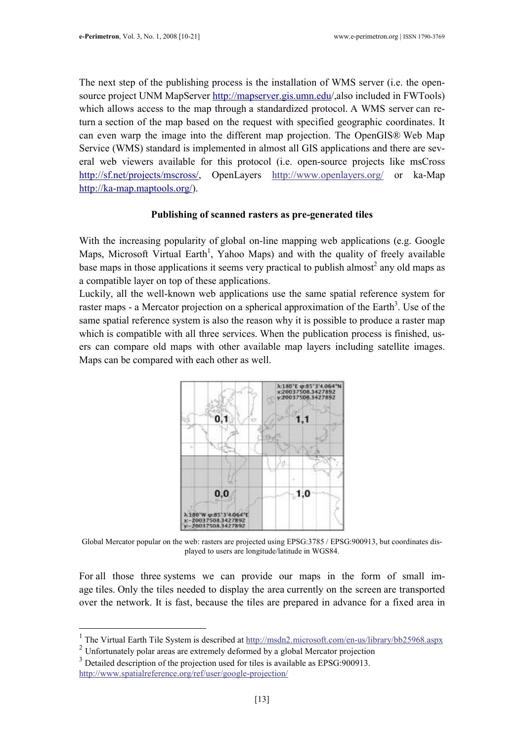The next step of the publishing process is the installation of WMS server (i.e. the opensource project UNM MapServer http://mapserver.gis.umn.edu/,also included in FWTools) which allows access to the map through a standardized protocol. A WMS server can return a section of the map based on the request with specified geographic coordinates. It can even warp the image into the different map projection. The OpenGIS® Web Map Service (WMS) standard is implemented in almost all GIS applications and there are several web viewers available for this protocol (i.e. open-source projects like msCross http://sf.net/projects/mscross/, OpenLayers http://www.openlayers.org/ or ka-Map http://ka-map.maptools.org/).

### Publishing of scanned rasters as pre-generated tiles

With the increasing popularity of global on-line mapping web applications (e.g. Google Maps, Microsoft Virtual Earth<sup>1</sup>, Yahoo Maps) and with the quality of freely available base maps in those applications it seems very practical to publish almost<sup>2</sup> any old maps as a compatible layer on top of these applications.

Luckily, all the well-known web applications use the same spatial reference system for raster maps - a Mercator projection on a spherical approximation of the Earth<sup>3</sup>. Use of the same spatial reference system is also the reason why it is possible to produce a raster map which is compatible with all three services. When the publication process is finished, users can compare old maps with other available map layers including satellite images. Maps can be compared with each other as well.



Global Mercator popular on the web: rasters are projected using EPSG:3785 / EPSG:900913, but coordinates displayed to users are longitude/latitude in WGS84.

For all those three systems we can provide our maps in the form of small image tiles. Only the tiles needed to display the area currently on the screen are transported over the network. It is fast, because the tiles are prepared in advance for a fixed area in

l

<sup>&</sup>lt;sup>1</sup> The Virtual Earth Tile System is described at http://msdn2.microsoft.com/en-us/library/bb25968.aspx

<sup>&</sup>lt;sup>2</sup> Unfortunately polar areas are extremely deformed by a global Mercator projection <sup>3</sup> Detailed description of the projection used for tiles is available as EPSG:900913.

http://www.spatialreference.org/ref/user/google-projection/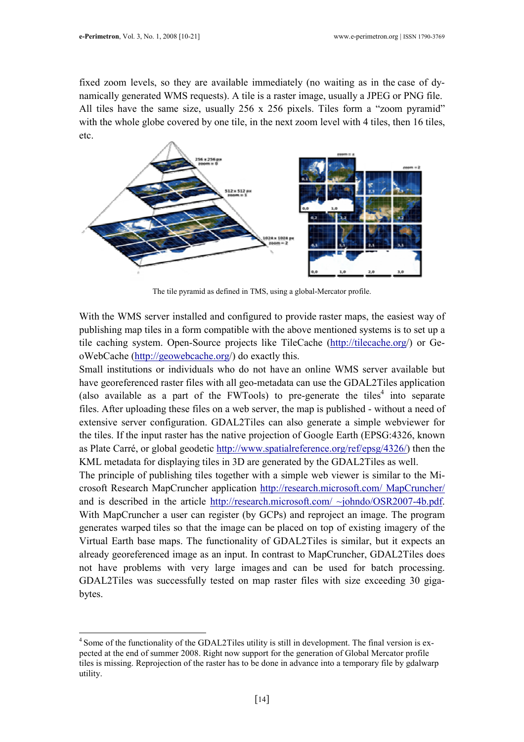$\overline{a}$ 

fixed zoom levels, so they are available immediately (no waiting as in the case of dynamically generated WMS requests). A tile is a raster image, usually a JPEG or PNG file. All tiles have the same size, usually 256 x 256 pixels. Tiles form a "zoom pyramid" with the whole globe covered by one tile, in the next zoom level with 4 tiles, then 16 tiles, etc.



The tile pyramid as defined in TMS, using a global-Mercator profile.

With the WMS server installed and configured to provide raster maps, the easiest way of publishing map tiles in a form compatible with the above mentioned systems is to set up a tile caching system. Open-Source projects like TileCache (http://tilecache.org/) or GeoWebCache (http://geowebcache.org/) do exactly this.

Small institutions or individuals who do not have an online WMS server available but have georeferenced raster files with all geo-metadata can use the GDAL2Tiles application (also available as a part of the FWTools) to pre-generate the tiles<sup>4</sup> into separate files. After uploading these files on a web server, the map is published - without a need of extensive server configuration. GDAL2Tiles can also generate a simple webviewer for the tiles. If the input raster has the native projection of Google Earth (EPSG:4326, known as Plate Carré, or global geodetic http://www.spatialreference.org/ref/epsg/4326/) then the KML metadata for displaying tiles in 3D are generated by the GDAL2Tiles as well.

The principle of publishing tiles together with a simple web viewer is similar to the Microsoft Research MapCruncher application http://research.microsoft.com/ MapCruncher/ and is described in the article http://research.microsoft.com/ ~johndo/OSR2007-4b.pdf. With MapCruncher a user can register (by GCPs) and reproject an image. The program generates warped tiles so that the image can be placed on top of existing imagery of the Virtual Earth base maps. The functionality of GDAL2Tiles is similar, but it expects an already georeferenced image as an input. In contrast to MapCruncher, GDAL2Tiles does not have problems with very large images and can be used for batch processing. GDAL2Tiles was successfully tested on map raster files with size exceeding 30 gigabytes.

<sup>&</sup>lt;sup>4</sup> Some of the functionality of the GDAL2Tiles utility is still in development. The final version is expected at the end of summer 2008. Right now support for the generation of Global Mercator profile tiles is missing. Reprojection of the raster has to be done in advance into a temporary file by gdalwarp utility.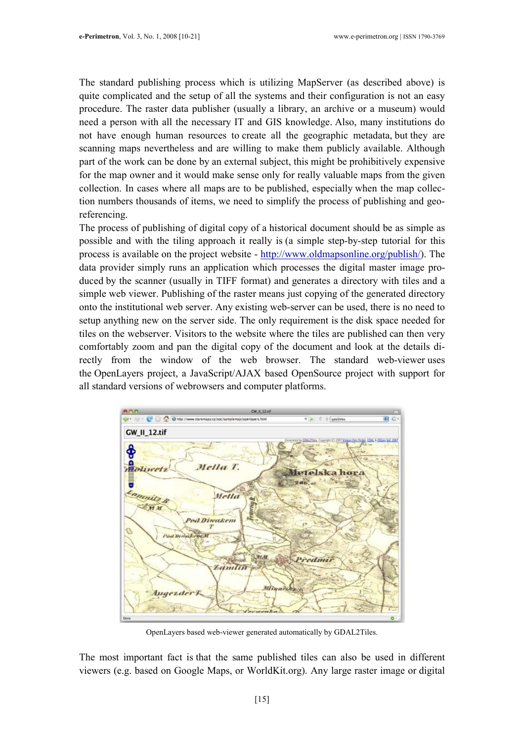The standard publishing process which is utilizing MapServer (as described above) is quite complicated and the setup of all the systems and their configuration is not an easy procedure. The raster data publisher (usually a library, an archive or a museum) would need a person with all the necessary IT and GIS knowledge. Also, many institutions do not have enough human resources to create all the geographic metadata, but they are scanning maps nevertheless and are willing to make them publicly available. Although part of the work can be done by an external subject, this might be prohibitively expensive for the map owner and it would make sense only for really valuable maps from the given collection. In cases where all maps are to be published, especially when the map collection numbers thousands of items, we need to simplify the process of publishing and georeferencing.

The process of publishing of digital copy of a historical document should be as simple as possible and with the tiling approach it really is (a simple step-by-step tutorial for this process is available on the project website - http://www.oldmapsonline.org/publish/). The data provider simply runs an application which processes the digital master image produced by the scanner (usually in TIFF format) and generates a directory with tiles and a simple web viewer. Publishing of the raster means just copying of the generated directory onto the institutional web server. Any existing web-server can be used, there is no need to setup anything new on the server side. The only requirement is the disk space needed for tiles on the webserver. Visitors to the website where the tiles are published can then very comfortably zoom and pan the digital copy of the document and look at the details directly from the window of the web browser. The standard web-viewer uses the OpenLayers project, a JavaScript/AJAX based OpenSource project with support for all standard versions of webrowsers and computer platforms.



OpenLayers based web-viewer generated automatically by GDAL2Tiles.

The most important fact is that the same published tiles can also be used in different viewers (e.g. based on Google Maps, or WorldKit.org). Any large raster image or digital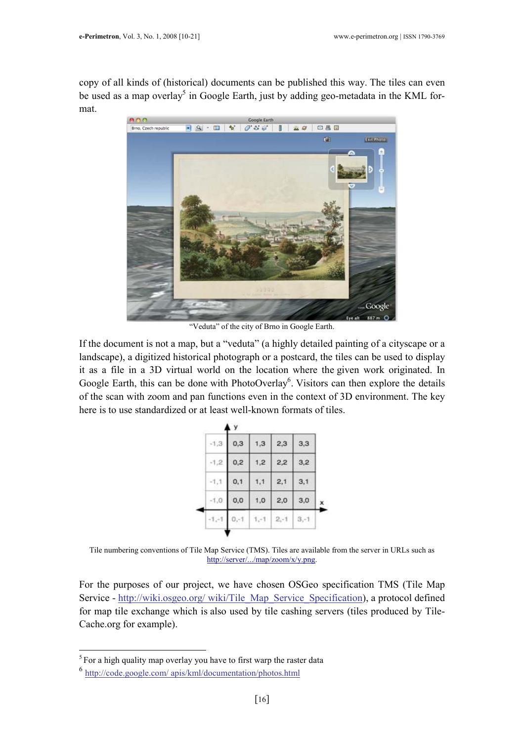copy of all kinds of (historical) documents can be published this way. The tiles can even be used as a map overlay<sup>5</sup> in Google Earth, just by adding geo-metadata in the KML format.



"Veduta" of the city of Brno in Google Earth.

If the document is not a map, but a "veduta" (a highly detailed painting of a cityscape or a landscape), a digitized historical photograph or a postcard, the tiles can be used to display it as a file in a 3D virtual world on the location where the given work originated. In Google Earth, this can be done with PhotoOverlay<sup>6</sup>. Visitors can then explore the details of the scan with zoom and pan functions even in the context of 3D environment. The key here is to use standardized or at least well-known formats of tiles.

|  |         | y    |      |         |        |   |
|--|---------|------|------|---------|--------|---|
|  | $-1,3$  | 0,3  | 1,3  | 2,3     | 3,3    |   |
|  | $-1.2$  | 0,2  | 1,2  | 2,2     | 3,2    |   |
|  | $-1, 1$ | 0,1  | 1, 1 | 2,1     | 3,1    |   |
|  | 1, 0.   | 0, 0 | 1,0  | 2,0     | 3,0    | × |
|  |         |      |      | $2 - 1$ | $3,-1$ |   |
|  |         |      |      |         |        |   |

Tile numbering conventions of Tile Map Service (TMS). Tiles are available from the server in URLs such as http://server/.../map/zoom/x/y.png.

For the purposes of our project, we have chosen OSGeo specification TMS (Tile Map Service - http://wiki.osgeo.org/ wiki/Tile\_Map\_Service\_Specification), a protocol defined for map tile exchange which is also used by tile cashing servers (tiles produced by Tile-Cache.org for example).

l  $5$  For a high quality map overlay you have to first warp the raster data

<sup>&</sup>lt;sup>6</sup> http://code.google.com/ apis/kml/documentation/photos.html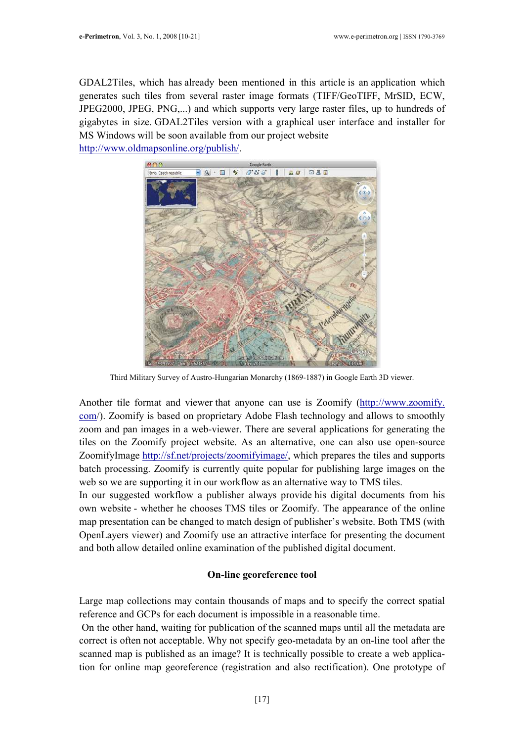GDAL2Tiles, which has already been mentioned in this article is an application which generates such tiles from several raster image formats (TIFF/GeoTIFF, MrSID, ECW, JPEG2000, JPEG, PNG,...) and which supports very large raster files, up to hundreds of gigabytes in size. GDAL2Tiles version with a graphical user interface and installer for MS Windows will be soon available from our project website http://www.oldmapsonline.org/publish/.



Third Military Survey of Austro-Hungarian Monarchy (1869-1887) in Google Earth 3D viewer.

Another tile format and viewer that anyone can use is Zoomify (http://www.zoomify. com/). Zoomify is based on proprietary Adobe Flash technology and allows to smoothly zoom and pan images in a web-viewer. There are several applications for generating the tiles on the Zoomify project website. As an alternative, one can also use open-source ZoomifyImage http://sf.net/projects/zoomifyimage/, which prepares the tiles and supports batch processing. Zoomify is currently quite popular for publishing large images on the web so we are supporting it in our workflow as an alternative way to TMS tiles.

In our suggested workflow a publisher always provide his digital documents from his own website - whether he chooses TMS tiles or Zoomify. The appearance of the online map presentation can be changed to match design of publisher's website. Both TMS (with OpenLayers viewer) and Zoomify use an attractive interface for presenting the document and both allow detailed online examination of the published digital document.

# On-line georeference tool

Large map collections may contain thousands of maps and to specify the correct spatial reference and GCPs for each document is impossible in a reasonable time.

 On the other hand, waiting for publication of the scanned maps until all the metadata are correct is often not acceptable. Why not specify geo-metadata by an on-line tool after the scanned map is published as an image? It is technically possible to create a web application for online map georeference (registration and also rectification). One prototype of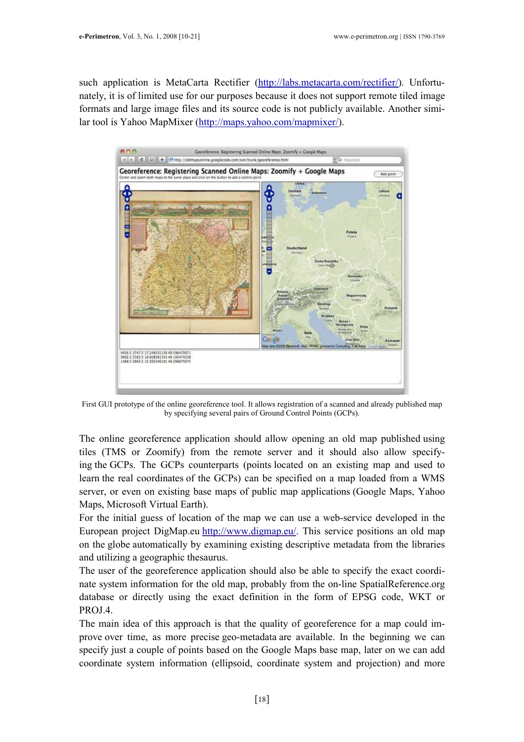such application is MetaCarta Rectifier (http://labs.metacarta.com/rectifier/). Unfortunately, it is of limited use for our purposes because it does not support remote tiled image formats and large image files and its source code is not publicly available. Another similar tool is Yahoo MapMixer (http://maps.yahoo.com/mapmixer/).



First GUI prototype of the online georeference tool. It allows registration of a scanned and already published map by specifying several pairs of Ground Control Points (GCPs).

The online georeference application should allow opening an old map published using tiles (TMS or Zoomify) from the remote server and it should also allow specifying the GCPs. The GCPs counterparts (points located on an existing map and used to learn the real coordinates of the GCPs) can be specified on a map loaded from a WMS server, or even on existing base maps of public map applications (Google Maps, Yahoo Maps, Microsoft Virtual Earth).

For the initial guess of location of the map we can use a web-service developed in the European project DigMap.eu http://www.digmap.eu/. This service positions an old map on the globe automatically by examining existing descriptive metadata from the libraries and utilizing a geographic thesaurus.

The user of the georeference application should also be able to specify the exact coordinate system information for the old map, probably from the on-line SpatialReference.org database or directly using the exact definition in the form of EPSG code, WKT or PROJ.4.

The main idea of this approach is that the quality of georeference for a map could improve over time, as more precise geo-metadata are available. In the beginning we can specify just a couple of points based on the Google Maps base map, later on we can add coordinate system information (ellipsoid, coordinate system and projection) and more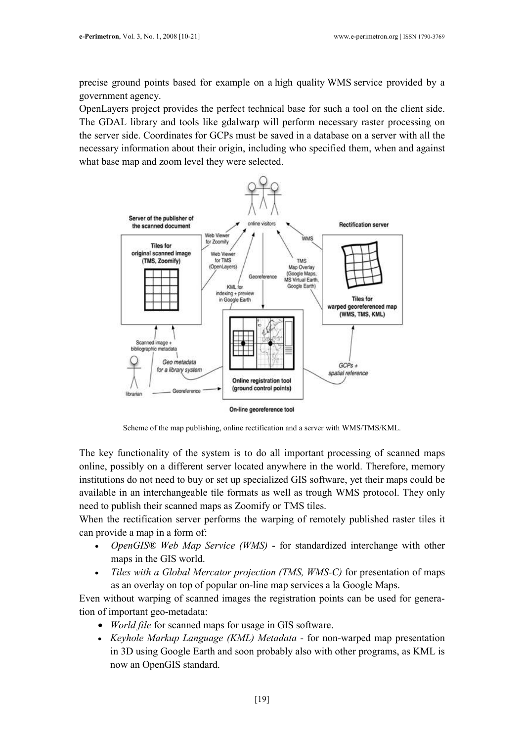precise ground points based for example on a high quality WMS service provided by a government agency.

OpenLayers project provides the perfect technical base for such a tool on the client side. The GDAL library and tools like gdalwarp will perform necessary raster processing on the server side. Coordinates for GCPs must be saved in a database on a server with all the necessary information about their origin, including who specified them, when and against what base map and zoom level they were selected.



Scheme of the map publishing, online rectification and a server with WMS/TMS/KML.

The key functionality of the system is to do all important processing of scanned maps online, possibly on a different server located anywhere in the world. Therefore, memory institutions do not need to buy or set up specialized GIS software, yet their maps could be available in an interchangeable tile formats as well as trough WMS protocol. They only need to publish their scanned maps as Zoomify or TMS tiles.

When the rectification server performs the warping of remotely published raster tiles it can provide a map in a form of:

- OpenGIS® Web Map Service (WMS) for standardized interchange with other maps in the GIS world.
- Tiles with a Global Mercator projection (TMS, WMS-C) for presentation of maps as an overlay on top of popular on-line map services a la Google Maps.

Even without warping of scanned images the registration points can be used for generation of important geo-metadata:

- *World file* for scanned maps for usage in GIS software.
- Keyhole Markup Language (KML) Metadata for non-warped map presentation in 3D using Google Earth and soon probably also with other programs, as KML is now an OpenGIS standard.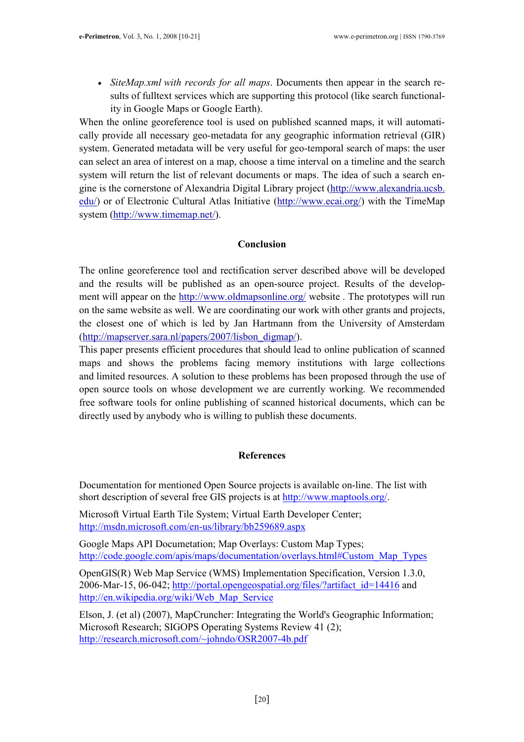• SiteMap.xml with records for all maps. Documents then appear in the search results of fulltext services which are supporting this protocol (like search functionality in Google Maps or Google Earth).

When the online georeference tool is used on published scanned maps, it will automatically provide all necessary geo-metadata for any geographic information retrieval (GIR) system. Generated metadata will be very useful for geo-temporal search of maps: the user can select an area of interest on a map, choose a time interval on a timeline and the search system will return the list of relevant documents or maps. The idea of such a search engine is the cornerstone of Alexandria Digital Library project (http://www.alexandria.ucsb. edu/) or of Electronic Cultural Atlas Initiative (http://www.ecai.org/) with the TimeMap system (http://www.timemap.net/).

## Conclusion

The online georeference tool and rectification server described above will be developed and the results will be published as an open-source project. Results of the development will appear on the http://www.oldmapsonline.org/ website . The prototypes will run on the same website as well. We are coordinating our work with other grants and projects, the closest one of which is led by Jan Hartmann from the University of Amsterdam (http://mapserver.sara.nl/papers/2007/lisbon\_digmap/).

This paper presents efficient procedures that should lead to online publication of scanned maps and shows the problems facing memory institutions with large collections and limited resources. A solution to these problems has been proposed through the use of open source tools on whose development we are currently working. We recommended free software tools for online publishing of scanned historical documents, which can be directly used by anybody who is willing to publish these documents.

### References

Documentation for mentioned Open Source projects is available on-line. The list with short description of several free GIS projects is at http://www.maptools.org/.

Microsoft Virtual Earth Tile System; Virtual Earth Developer Center; http://msdn.microsoft.com/en-us/library/bb259689.aspx

Google Maps API Documetation; Map Overlays: Custom Map Types; http://code.google.com/apis/maps/documentation/overlays.html#Custom\_Map\_Types

OpenGIS(R) Web Map Service (WMS) Implementation Specification, Version 1.3.0, 2006-Mar-15, 06-042; http://portal.opengeospatial.org/files/?artifact\_id=14416 and http://en.wikipedia.org/wiki/Web\_Map\_Service

Elson, J. (et al) (2007), MapCruncher: Integrating the World's Geographic Information; Microsoft Research; SIGOPS Operating Systems Review 41 (2); http://research.microsoft.com/~johndo/OSR2007-4b.pdf